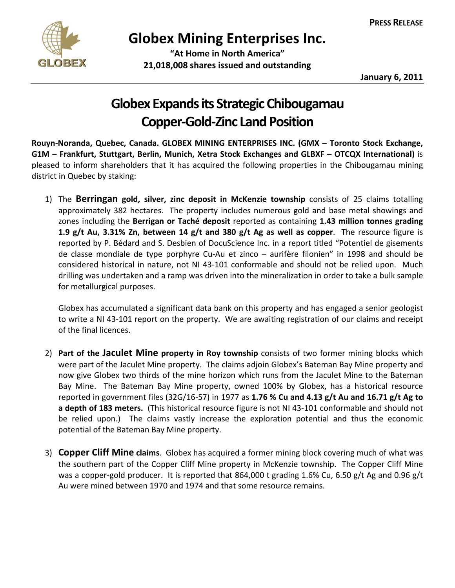

## **Globex Mining Enterprises Inc.**

 **"At Home in North America" 21,018,008 shares issued and outstanding**

**January 6, 2011**

## **Globex Expands its Strategic Chibougamau Copper‐Gold‐Zinc LandPosition**

**Rouyn‐Noranda, Quebec, Canada. GLOBEX MINING ENTERPRISES INC. (GMX – Toronto Stock Exchange, G1M – Frankfurt, Stuttgart, Berlin, Munich, Xetra Stock Exchanges and GLBXF – OTCQX International)** is pleased to inform shareholders that it has acquired the following properties in the Chibougamau mining district in Quebec by staking:

1) The **Berringan gold, silver, zinc deposit in McKenzie township** consists of 25 claims totalling approximately 382 hectares. The property includes numerous gold and base metal showings and zones including the **Berrigan or Taché deposit** reported as containing **1.43 million tonnes grading 1.9 g/t Au, 3.31% Zn, between 14 g/t and 380 g/t Ag as well as copper**. The resource figure is reported by P. Bédard and S. Desbien of DocuScience Inc. in a report titled "Potentiel de gisements de classe mondiale de type porphyre Cu‐Au et zinco – aurifère filonien" in 1998 and should be considered historical in nature, not NI 43‐101 conformable and should not be relied upon. Much drilling was undertaken and a ramp was driven into the mineralization in order to take a bulk sample for metallurgical purposes.

Globex has accumulated a significant data bank on this property and has engaged a senior geologist to write a NI 43‐101 report on the property. We are awaiting registration of our claims and receipt of the final licences.

- 2) **Part of the Jaculet Mine property in Roy township** consists of two former mining blocks which were part of the Jaculet Mine property. The claims adjoin Globex's Bateman Bay Mine property and now give Globex two thirds of the mine horizon which runs from the Jaculet Mine to the Bateman Bay Mine. The Bateman Bay Mine property, owned 100% by Globex, has a historical resource reported in government files (32G/16‐57) in 1977 as **1.76 % Cu and 4.13 g/t Au and 16.71 g/t Ag to a depth of 183 meters.** (This historical resource figure is not NI 43‐101 conformable and should not be relied upon.) The claims vastly increase the exploration potential and thus the economic potential of the Bateman Bay Mine property.
- 3) **Copper Cliff Mine claims**. Globex has acquired a former mining block covering much of what was the southern part of the Copper Cliff Mine property in McKenzie township. The Copper Cliff Mine was a copper-gold producer. It is reported that 864,000 t grading 1.6% Cu, 6.50 g/t Ag and 0.96 g/t Au were mined between 1970 and 1974 and that some resource remains.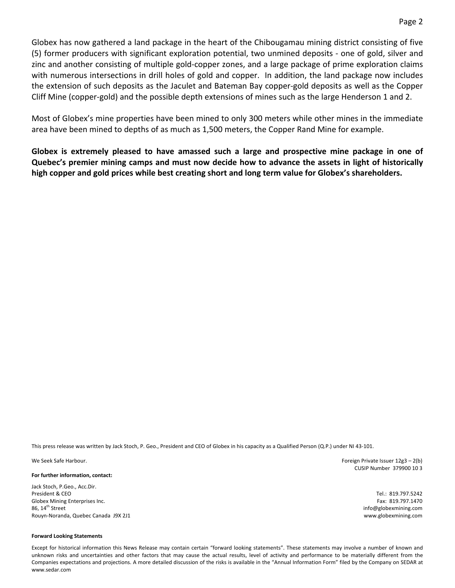Globex has now gathered a land package in the heart of the Chibougamau mining district consisting of five (5) former producers with significant exploration potential, two unmined deposits ‐ one of gold, silver and zinc and another consisting of multiple gold‐copper zones, and a large package of prime exploration claims with numerous intersections in drill holes of gold and copper. In addition, the land package now includes the extension of such deposits as the Jaculet and Bateman Bay copper‐gold deposits as well as the Copper Cliff Mine (copper‐gold) and the possible depth extensions of mines such as the large Henderson 1 and 2.

Most of Globex's mine properties have been mined to only 300 meters while other mines in the immediate area have been mined to depths of as much as 1,500 meters, the Copper Rand Mine for example.

**Globex is extremely pleased to have amassed such a large and prospective mine package in one of Quebec's premier mining camps and must now decide how to advance the assets in light of historically high copper and gold prices while best creating short and long term value for Globex's shareholders.**

This press release was written by Jack Stoch, P. Geo., President and CEO of Globex in his capacity as a Qualified Person (Q.P.) under NI 43‐101.

**For further information, contact:**

Jack Stoch, P.Geo., Acc.Dir. President & CEO Globex Mining Enterprises Inc.  $86.14<sup>th</sup>$  Street Rouyn‐Noranda, Quebec Canada J9X 2J1

#### **Forward Looking Statements**

Except for historical information this News Release may contain certain "forward looking statements". These statements may involve a number of known and unknown risks and uncertainties and other factors that may cause the actual results, level of activity and performance to be materially different from the Companies expectations and projections. A more detailed discussion of the risks is available in the "Annual Information Form" filed by the Company on SEDAR at www.sedar.com

We Seek Safe Harbour. *Properties a Foreign Private Issuer 12g3 – 2(b)* **<b>***Foreign Private Issuer 12g3 – 2(b)* CUSIP Number 379900 10 3

> Tel.: 819.797.5242 Fax: 819.797.1470 info@globexmining.com www.globexmining.com